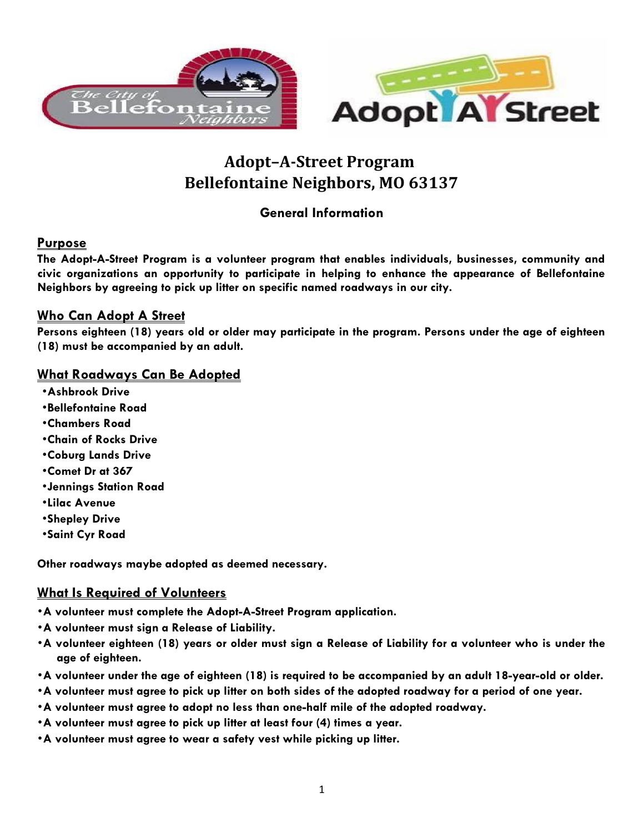

# **Adopt–A-Street Program Bellefontaine Neighbors, MO 63137**

### **General Information**

#### **Purpose**

**The Adopt-A-Street Program is a volunteer program that enables individuals, businesses, community and civic organizations an opportunity to participate in helping to enhance the appearance of Bellefontaine Neighbors by agreeing to pick up litter on specific named roadways in our city.**

#### **Who Can Adopt A Street**

**Persons eighteen (18) years old or older may participate in the program. Persons under the age of eighteen (18) must be accompanied by an adult.** 

#### **What Roadways Can Be Adopted**

- •**Ashbrook Drive**
- •**Bellefontaine Road**
- •**Chambers Road**
- •**Chain of Rocks Drive**
- •**Coburg Lands Drive**
- •**Comet Dr at 367**
- •**Jennings Station Road**
- •**Lilac Avenue**
- •**Shepley Drive**
- •**Saint Cyr Road**

**Other roadways maybe adopted as deemed necessary.** 

#### **What Is Required of Volunteers**

- •**A volunteer must complete the Adopt-A-Street Program application.**
- •**A volunteer must sign a Release of Liability.**
- •**A volunteer eighteen (18) years or older must sign a Release of Liability for a volunteer who is under the age of eighteen.**
- •**A volunteer under the age of eighteen (18) is required to be accompanied by an adult 18-year-old or older.**
- •**A volunteer must agree to pick up litter on both sides of the adopted roadway for a period of one year.**
- •**A volunteer must agree to adopt no less than one-half mile of the adopted roadway.**
- •**A volunteer must agree to pick up litter at least four (4) times a year.**
- •**A volunteer must agree to wear a safety vest while picking up litter.**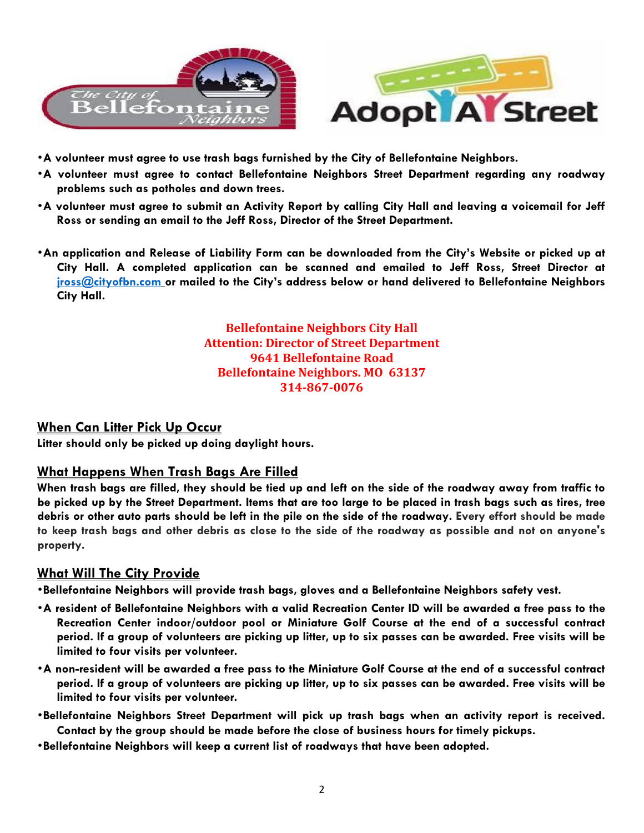

- •**A volunteer must agree to use trash bags furnished by the City of Bellefontaine Neighbors.**
- •**A volunteer must agree to contact Bellefontaine Neighbors Street Department regarding any roadway problems such as potholes and down trees.**
- •**A volunteer must agree to submit an Activity Report by calling City Hall and leaving a voicemail for Jeff Ross or sending an email to the Jeff Ross, Director of the Street Department.**
- •**An application and Release of Liability Form can be downloaded from the City's Website or picked up at City Hall. A completed application can be scanned and emailed to Jeff Ross, Street Director at [jross@cityofbn.com](mailto:jross@cityofbn.com) or mailed to the City's address below or hand delivered to Bellefontaine Neighbors City Hall.**

**Bellefontaine Neighbors City Hall Attention: Director of Street Department 9641 Bellefontaine Road Bellefontaine Neighbors. MO 63137 314-867-0076**

#### **When Can Litter Pick Up Occur**

**Litter should only be picked up doing daylight hours.**

#### **What Happens When Trash Bags Are Filled**

**When trash bags are filled, they should be tied up and left on the side of the roadway away from traffic to be picked up by the Street Department. Items that are too large to be placed in trash bags such as tires, tree debris or other auto parts should be left in the pile on the side of the roadway. Every effort should be made to keep trash bags and other debris as close to the side of the roadway as possible and not on anyone's property.**

#### **What Will The City Provide**

•**Bellefontaine Neighbors will provide trash bags, gloves and a Bellefontaine Neighbors safety vest.**

- •**A resident of Bellefontaine Neighbors with a valid Recreation Center ID will be awarded a free pass to the Recreation Center indoor/outdoor pool or Miniature Golf Course at the end of a successful contract period. If a group of volunteers are picking up litter, up to six passes can be awarded. Free visits will be limited to four visits per volunteer.**
- •**A non-resident will be awarded a free pass to the Miniature Golf Course at the end of a successful contract period. If a group of volunteers are picking up litter, up to six passes can be awarded. Free visits will be limited to four visits per volunteer.**
- •**Bellefontaine Neighbors Street Department will pick up trash bags when an activity report is received. Contact by the group should be made before the close of business hours for timely pickups.**
- •**Bellefontaine Neighbors will keep a current list of roadways that have been adopted.**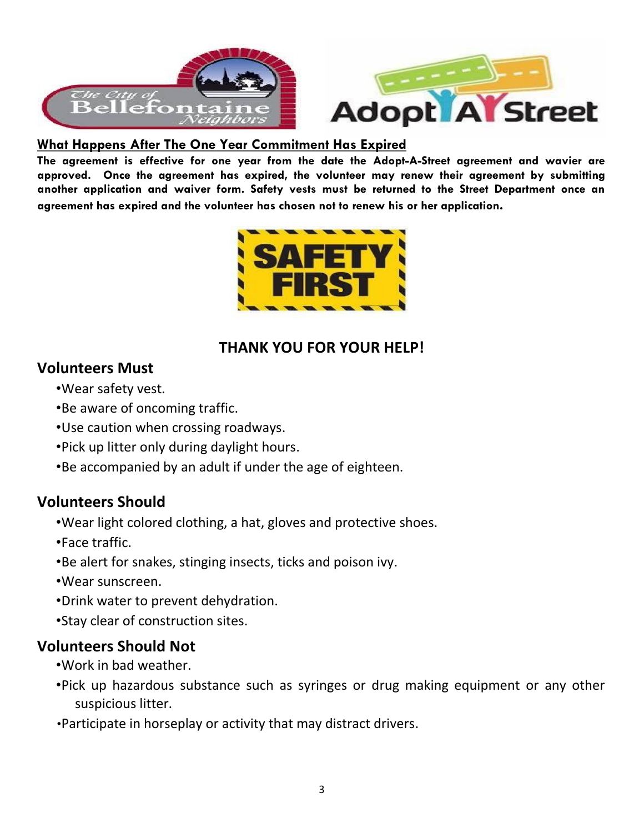

#### **What Happens After The One Year Commitment Has Expired**

**The agreement is effective for one year from the date the Adopt-A-Street agreement and wavier are approved. Once the agreement has expired, the volunteer may renew their agreement by submitting another application and waiver form. Safety vests must be returned to the Street Department once an agreement has expired and the volunteer has chosen not to renew his or her application.**



# **THANK YOU FOR YOUR HELP!**

# **Volunteers Must**

- •Wear safety vest.
- •Be aware of oncoming traffic.
- •Use caution when crossing roadways.
- •Pick up litter only during daylight hours.
- •Be accompanied by an adult if under the age of eighteen.

# **Volunteers Should**

- •Wear light colored clothing, a hat, gloves and protective shoes.
- •Face traffic.
- •Be alert for snakes, stinging insects, ticks and poison ivy.
- •Wear sunscreen.
- •Drink water to prevent dehydration.
- •Stay clear of construction sites.

# **Volunteers Should Not**

- •Work in bad weather.
- •Pick up hazardous substance such as syringes or drug making equipment or any other suspicious litter.
- •Participate in horseplay or activity that may distract drivers.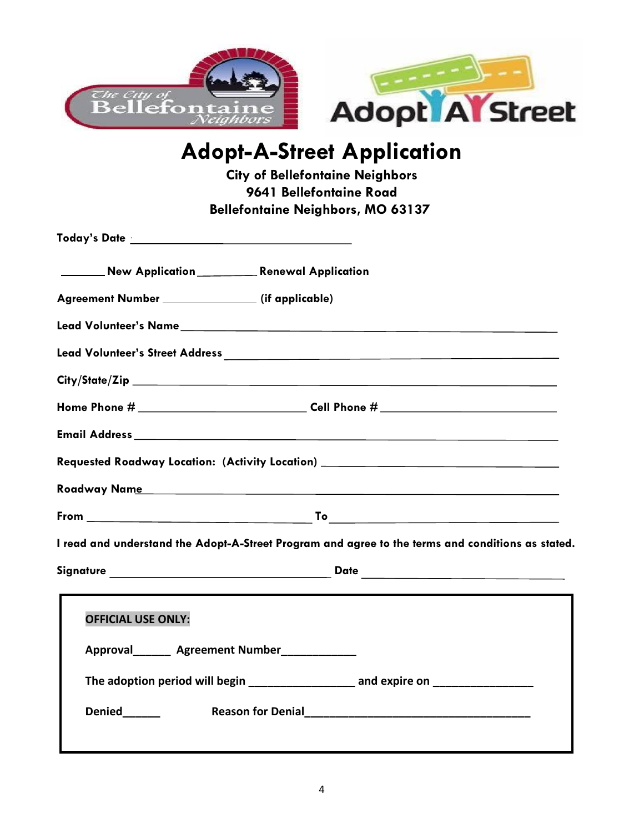

# **Adopt-A-Street Application**

**City of Bellefontaine Neighbors 9641 Bellefontaine Road Bellefontaine Neighbors, MO 63137** 

| New Application ___________ Renewal Application                                                   |
|---------------------------------------------------------------------------------------------------|
| Agreement Number ________________ (if applicable)                                                 |
|                                                                                                   |
|                                                                                                   |
|                                                                                                   |
|                                                                                                   |
|                                                                                                   |
| Requested Roadway Location: (Activity Location) ________________________________                  |
|                                                                                                   |
|                                                                                                   |
| I read and understand the Adopt-A-Street Program and agree to the terms and conditions as stated. |
|                                                                                                   |
| <b>OFFICIAL USE ONLY:</b>                                                                         |
| Approval________ Agreement Number_____________                                                    |
| The adoption period will begin _____________________ and expire on ______________                 |
| Denied______                                                                                      |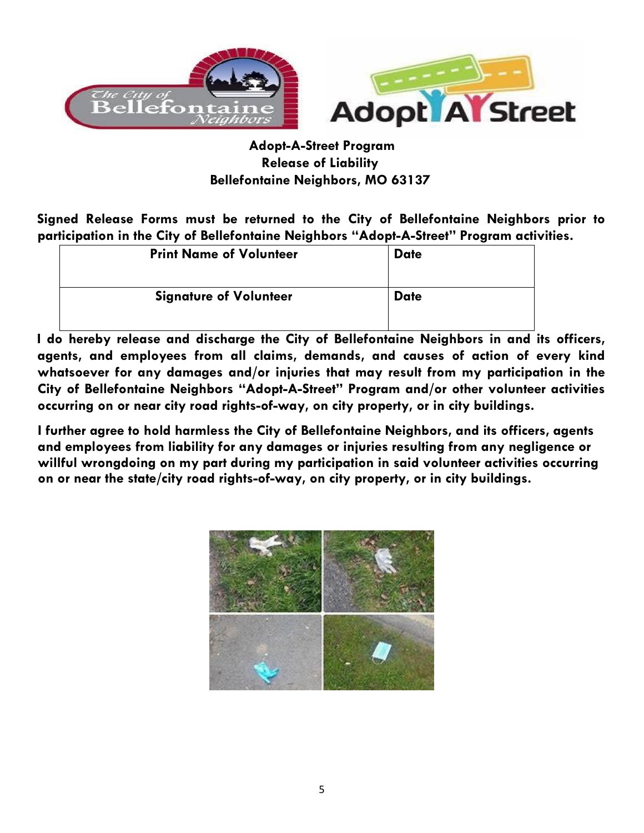

## **Adopt-A-Street Program Release of Liability Bellefontaine Neighbors, MO 63137**

**Signed Release Forms must be returned to the City of Bellefontaine Neighbors prior to participation in the City of Bellefontaine Neighbors "Adopt-A-Street" Program activities.**

| <b>Print Name of Volunteer</b> | <b>Date</b> |
|--------------------------------|-------------|
| <b>Signature of Volunteer</b>  | <b>Date</b> |

**I do hereby release and discharge the City of Bellefontaine Neighbors in and its officers, agents, and employees from all claims, demands, and causes of action of every kind whatsoever for any damages and/or injuries that may result from my participation in the City of Bellefontaine Neighbors "Adopt-A-Street" Program and/or other volunteer activities occurring on or near city road rights-of-way, on city property, or in city buildings.**

**I further agree to hold harmless the City of Bellefontaine Neighbors, and its officers, agents and employees from liability for any damages or injuries resulting from any negligence or willful wrongdoing on my part during my participation in said volunteer activities occurring on or near the state/city road rights-of-way, on city property, or in city buildings.**

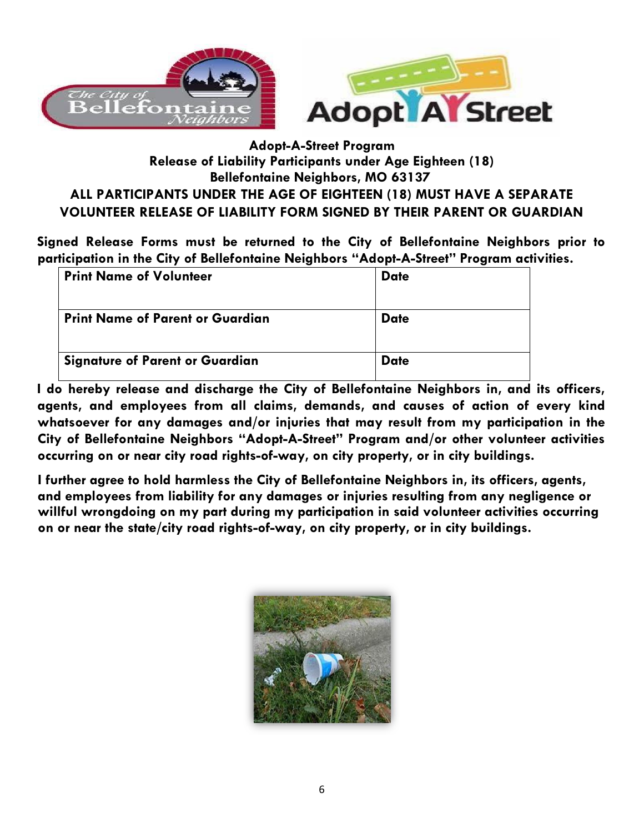

# **Adopt-A-Street Program Release of Liability Participants under Age Eighteen (18) Bellefontaine Neighbors, MO 63137 ALL PARTICIPANTS UNDER THE AGE OF EIGHTEEN (18) MUST HAVE A SEPARATE VOLUNTEER RELEASE OF LIABILITY FORM SIGNED BY THEIR PARENT OR GUARDIAN**

**Signed Release Forms must be returned to the City of Bellefontaine Neighbors prior to participation in the City of Bellefontaine Neighbors "Adopt-A-Street" Program activities.**

| <b>Print Name of Volunteer</b>          | <b>Date</b> |
|-----------------------------------------|-------------|
| <b>Print Name of Parent or Guardian</b> | <b>Date</b> |
| <b>Signature of Parent or Guardian</b>  | <b>Date</b> |

**I do hereby release and discharge the City of Bellefontaine Neighbors in, and its officers, agents, and employees from all claims, demands, and causes of action of every kind whatsoever for any damages and/or injuries that may result from my participation in the City of Bellefontaine Neighbors "Adopt-A-Street" Program and/or other volunteer activities occurring on or near city road rights-of-way, on city property, or in city buildings.**

**I further agree to hold harmless the City of Bellefontaine Neighbors in, its officers, agents, and employees from liability for any damages or injuries resulting from any negligence or willful wrongdoing on my part during my participation in said volunteer activities occurring on or near the state/city road rights-of-way, on city property, or in city buildings.**